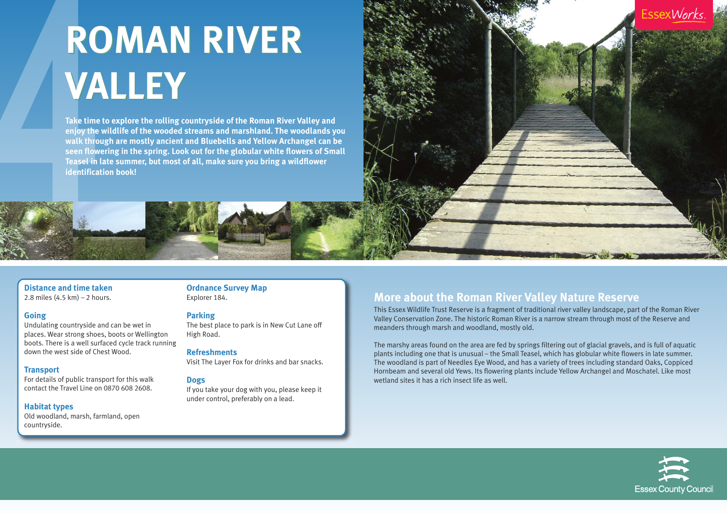

2.8 miles (4.5 km) – 2 hours.

# **Going**

Undulating countryside and can be wet in places. Wear strong shoes, boots or Wellington boots. There is a well surfaced cycle track running down the west side of Chest Wood.

# **Transport**

For details of public transport for this walk contact the Travel Line on 0870 608 2608.

# **Habitat types**

Old woodland, marsh, farmland, open countryside.

**Ordnance Survey Map** Explorer 184.

# **Parking**

The best place to park is in New Cut Lane off High Road.

# **Refreshments**

Visit The Layer Fox for drinks and bar snacks.

# **Dogs**

If you take your dog with you, please keep it under control, preferably on a lead.

# **More about the Roman River Valley Nature Reserve**

This Essex Wildlife Trust Reserve is a fragment of traditional river valley landscape, part of the Roman River Valley Conservation Zone. The historic Roman River is a narrow stream through most of the Reserve and meanders through marsh and woodland, mostly old.

The marshy areas found on the area are fed by springs filtering out of glacial gravels, and is full of aquatic plants including one that is unusual – the Small Teasel, which has globular white flowers in late summer. The woodland is part of Needles Eye Wood, and has a variety of trees including standard Oaks, Coppiced Hornbeam and several old Yews. Its flowering plants include Yellow Archangel and Moschatel. Like most wetland sites it has a rich insect life as well.





# **ROMAN RIVER ROMAN RIVER VALLEY VALLEY**

**Take time to explore the rolling countryside of the Roman River Valley and enjoy the wildlife of the wooded streams and marshland. The woodlands you walk through are mostly ancient and Bluebells and Yellow Archangel can be seen flowering in the spring. Look out for the globular white flowers of Small Teasel in late summer, but most of all, make sure you bring a wildflower identification book!**